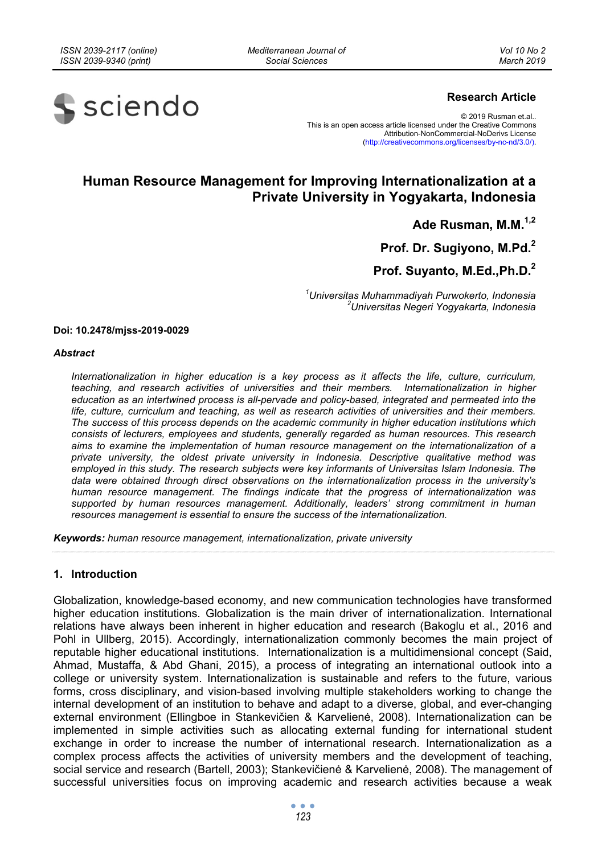*Mediterranean Journal of Social Sciences* 



## **Research Article**

© 2019 Rusman et.al.. This is an open access article licensed under the Creative Commons Attribution-NonCommercial-NoDerivs License (http://creativecommons.org/licenses/by-nc-nd/3.0/).

# **Human Resource Management for Improving Internationalization at a Private University in Yogyakarta, Indonesia**

**Ade Rusman, M.M.1,2**

**Prof. Dr. Sugiyono, M.Pd.<sup>2</sup>**

# **Prof. Suyanto, M.Ed.,Ph.D.2**

*1 Universitas Muhammadiyah Purwokerto, Indonesia 2 Universitas Negeri Yogyakarta, Indonesia* 

#### **Doi: 10.2478/mjss-2019-0029**

#### *Abstract*

*Internationalization in higher education is a key process as it affects the life, culture, curriculum, teaching, and research activities of universities and their members. Internationalization in higher education as an intertwined process is all-pervade and policy-based, integrated and permeated into the life, culture, curriculum and teaching, as well as research activities of universities and their members. The success of this process depends on the academic community in higher education institutions which consists of lecturers, employees and students, generally regarded as human resources. This research aims to examine the implementation of human resource management on the internationalization of a private university, the oldest private university in Indonesia. Descriptive qualitative method was employed in this study. The research subjects were key informants of Universitas Islam Indonesia. The data were obtained through direct observations on the internationalization process in the university's human resource management. The findings indicate that the progress of internationalization was supported by human resources management. Additionally, leaders' strong commitment in human resources management is essential to ensure the success of the internationalization.* 

*Keywords: human resource management, internationalization, private university* 

## **1. Introduction**

Globalization, knowledge-based economy, and new communication technologies have transformed higher education institutions. Globalization is the main driver of internationalization. International relations have always been inherent in higher education and research (Bakoglu et al., 2016 and Pohl in Ullberg, 2015). Accordingly, internationalization commonly becomes the main project of reputable higher educational institutions. Internationalization is a multidimensional concept (Said, Ahmad, Mustaffa, & Abd Ghani, 2015), a process of integrating an international outlook into a college or university system. Internationalization is sustainable and refers to the future, various forms, cross disciplinary, and vision-based involving multiple stakeholders working to change the internal development of an institution to behave and adapt to a diverse, global, and ever-changing external environment (Ellingboe in Stankevičien & Karvelienė, 2008). Internationalization can be implemented in simple activities such as allocating external funding for international student exchange in order to increase the number of international research. Internationalization as a complex process affects the activities of university members and the development of teaching, social service and research (Bartell, 2003); Stankevičienė & Karvelienė, 2008). The management of successful universities focus on improving academic and research activities because a weak

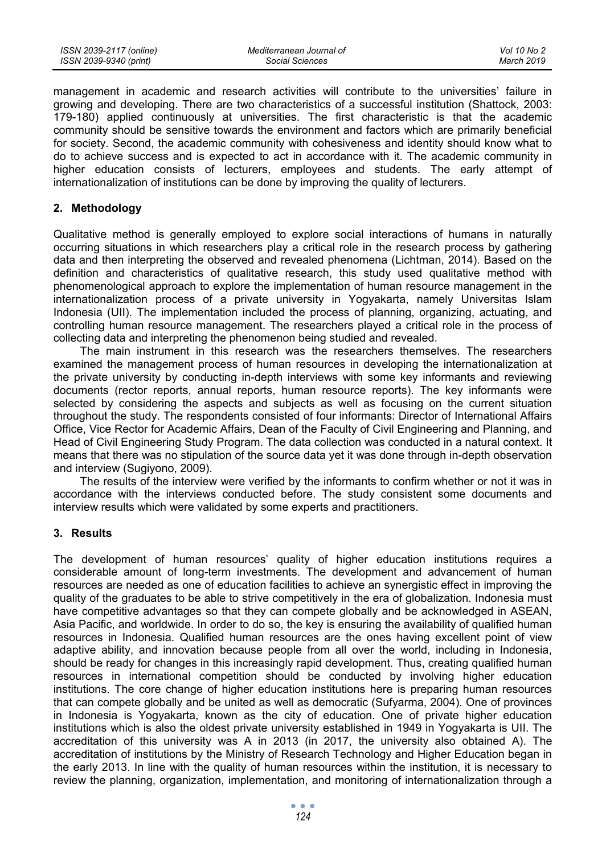| ISSN 2039-2117 (online) | Mediterranean Journal of | Vol 10 No 2 |
|-------------------------|--------------------------|-------------|
| ISSN 2039-9340 (print)  | Social Sciences          | March 2019  |

management in academic and research activities will contribute to the universities' failure in growing and developing. There are two characteristics of a successful institution (Shattock, 2003: 179-180) applied continuously at universities. The first characteristic is that the academic community should be sensitive towards the environment and factors which are primarily beneficial for society. Second, the academic community with cohesiveness and identity should know what to do to achieve success and is expected to act in accordance with it. The academic community in higher education consists of lecturers, employees and students. The early attempt of internationalization of institutions can be done by improving the quality of lecturers.

#### **2. Methodology**

Qualitative method is generally employed to explore social interactions of humans in naturally occurring situations in which researchers play a critical role in the research process by gathering data and then interpreting the observed and revealed phenomena (Lichtman, 2014). Based on the definition and characteristics of qualitative research, this study used qualitative method with phenomenological approach to explore the implementation of human resource management in the internationalization process of a private university in Yogyakarta, namely Universitas Islam Indonesia (UII). The implementation included the process of planning, organizing, actuating, and controlling human resource management. The researchers played a critical role in the process of collecting data and interpreting the phenomenon being studied and revealed.

The main instrument in this research was the researchers themselves. The researchers examined the management process of human resources in developing the internationalization at the private university by conducting in-depth interviews with some key informants and reviewing documents (rector reports, annual reports, human resource reports). The key informants were selected by considering the aspects and subjects as well as focusing on the current situation throughout the study. The respondents consisted of four informants: Director of International Affairs Office, Vice Rector for Academic Affairs, Dean of the Faculty of Civil Engineering and Planning, and Head of Civil Engineering Study Program. The data collection was conducted in a natural context. It means that there was no stipulation of the source data yet it was done through in-depth observation and interview (Sugiyono, 2009).

The results of the interview were verified by the informants to confirm whether or not it was in accordance with the interviews conducted before. The study consistent some documents and interview results which were validated by some experts and practitioners.

## **3. Results**

The development of human resources' quality of higher education institutions requires a considerable amount of long-term investments. The development and advancement of human resources are needed as one of education facilities to achieve an synergistic effect in improving the quality of the graduates to be able to strive competitively in the era of globalization. Indonesia must have competitive advantages so that they can compete globally and be acknowledged in ASEAN, Asia Pacific, and worldwide. In order to do so, the key is ensuring the availability of qualified human resources in Indonesia. Qualified human resources are the ones having excellent point of view adaptive ability, and innovation because people from all over the world, including in Indonesia, should be ready for changes in this increasingly rapid development. Thus, creating qualified human resources in international competition should be conducted by involving higher education institutions. The core change of higher education institutions here is preparing human resources that can compete globally and be united as well as democratic (Sufyarma, 2004). One of provinces in Indonesia is Yogyakarta, known as the city of education. One of private higher education institutions which is also the oldest private university established in 1949 in Yogyakarta is UII. The accreditation of this university was A in 2013 (in 2017, the university also obtained A). The accreditation of institutions by the Ministry of Research Technology and Higher Education began in the early 2013. In line with the quality of human resources within the institution, it is necessary to review the planning, organization, implementation, and monitoring of internationalization through a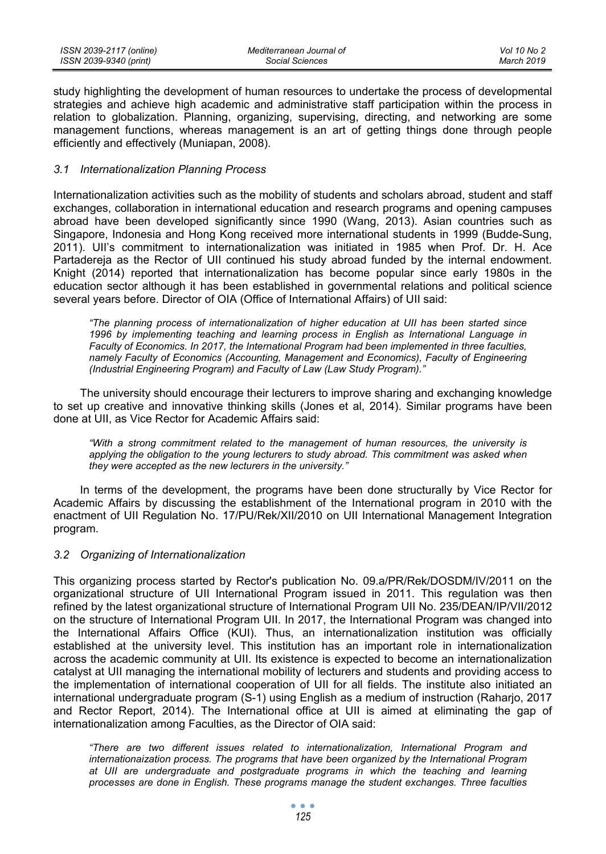| ISSN 2039-2117 (online) | Mediterranean Journal of | Vol 10 No 2 |
|-------------------------|--------------------------|-------------|
| ISSN 2039-9340 (print)  | Social Sciences          | March 2019  |

study highlighting the development of human resources to undertake the process of developmental strategies and achieve high academic and administrative staff participation within the process in relation to globalization. Planning, organizing, supervising, directing, and networking are some management functions, whereas management is an art of getting things done through people efficiently and effectively (Muniapan, 2008).

### *3.1 Internationalization Planning Process*

Internationalization activities such as the mobility of students and scholars abroad, student and staff exchanges, collaboration in international education and research programs and opening campuses abroad have been developed significantly since 1990 (Wang, 2013). Asian countries such as Singapore, Indonesia and Hong Kong received more international students in 1999 (Budde-Sung, 2011). UII's commitment to internationalization was initiated in 1985 when Prof. Dr. H. Ace Partadereja as the Rector of UII continued his study abroad funded by the internal endowment. Knight (2014) reported that internationalization has become popular since early 1980s in the education sector although it has been established in governmental relations and political science several years before. Director of OIA (Office of International Affairs) of UII said:

*"The planning process of internationalization of higher education at UII has been started since 1996 by implementing teaching and learning process in English as International Language in Faculty of Economics. In 2017, the International Program had been implemented in three faculties, namely Faculty of Economics (Accounting, Management and Economics), Faculty of Engineering (Industrial Engineering Program) and Faculty of Law (Law Study Program)."* 

The university should encourage their lecturers to improve sharing and exchanging knowledge to set up creative and innovative thinking skills (Jones et al, 2014). Similar programs have been done at UII, as Vice Rector for Academic Affairs said:

*"With a strong commitment related to the management of human resources, the university is applying the obligation to the young lecturers to study abroad. This commitment was asked when they were accepted as the new lecturers in the university."* 

In terms of the development, the programs have been done structurally by Vice Rector for Academic Affairs by discussing the establishment of the International program in 2010 with the enactment of UII Regulation No. 17/PU/Rek/XII/2010 on UII International Management Integration program.

#### *3.2 Organizing of Internationalization*

This organizing process started by Rector's publication No. 09.a/PR/Rek/DOSDM/IV/2011 on the organizational structure of UII International Program issued in 2011. This regulation was then refined by the latest organizational structure of International Program UII No. 235/DEAN/IP/VII/2012 on the structure of International Program UII. In 2017, the International Program was changed into the International Affairs Office (KUI). Thus, an internationalization institution was officially established at the university level. This institution has an important role in internationalization across the academic community at UII. Its existence is expected to become an internationalization catalyst at UII managing the international mobility of lecturers and students and providing access to the implementation of international cooperation of UII for all fields. The institute also initiated an international undergraduate program (S-1) using English as a medium of instruction (Raharjo, 2017 and Rector Report, 2014). The International office at UII is aimed at eliminating the gap of internationalization among Faculties, as the Director of OIA said:

*"There are two different issues related to internationalization, International Program and internationaization process. The programs that have been organized by the International Program at UII are undergraduate and postgraduate programs in which the teaching and learning processes are done in English. These programs manage the student exchanges. Three faculties*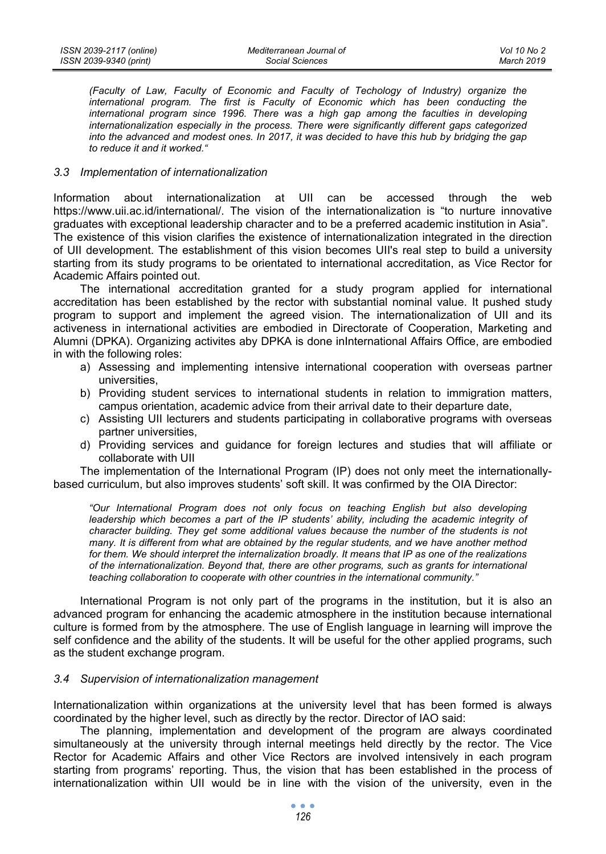*(Faculty of Law, Faculty of Economic and Faculty of Techology of Industry) organize the international program. The first is Faculty of Economic which has been conducting the international program since 1996. There was a high gap among the faculties in developing internationalization especially in the process. There were significantly different gaps categorized into the advanced and modest ones. In 2017, it was decided to have this hub by bridging the gap to reduce it and it worked."* 

## *3.3 Implementation of internationalization*

Information about internationalization at UII can be accessed through the web https://www.uii.ac.id/international/. The vision of the internationalization is "to nurture innovative graduates with exceptional leadership character and to be a preferred academic institution in Asia". The existence of this vision clarifies the existence of internationalization integrated in the direction

of UII development. The establishment of this vision becomes UII's real step to build a university starting from its study programs to be orientated to international accreditation, as Vice Rector for Academic Affairs pointed out.

The international accreditation granted for a study program applied for international accreditation has been established by the rector with substantial nominal value. It pushed study program to support and implement the agreed vision. The internationalization of UII and its activeness in international activities are embodied in Directorate of Cooperation, Marketing and Alumni (DPKA). Organizing activites aby DPKA is done inInternational Affairs Office, are embodied in with the following roles:

- a) Assessing and implementing intensive international cooperation with overseas partner universities,
- b) Providing student services to international students in relation to immigration matters, campus orientation, academic advice from their arrival date to their departure date,
- c) Assisting UII lecturers and students participating in collaborative programs with overseas partner universities,
- d) Providing services and guidance for foreign lectures and studies that will affiliate or collaborate with UII

The implementation of the International Program (IP) does not only meet the internationallybased curriculum, but also improves students' soft skill. It was confirmed by the OIA Director:

*"Our International Program does not only focus on teaching English but also developing*  leadership which becomes a part of the IP students' ability, including the academic integrity of *character building. They get some additional values because the number of the students is not many. It is different from what are obtained by the regular students, and we have another method for them. We should interpret the internalization broadly. It means that IP as one of the realizations of the internationalization. Beyond that, there are other programs, such as grants for international teaching collaboration to cooperate with other countries in the international community."* 

International Program is not only part of the programs in the institution, but it is also an advanced program for enhancing the academic atmosphere in the institution because international culture is formed from by the atmosphere. The use of English language in learning will improve the self confidence and the ability of the students. It will be useful for the other applied programs, such as the student exchange program.

#### *3.4 Supervision of internationalization management*

Internationalization within organizations at the university level that has been formed is always coordinated by the higher level, such as directly by the rector. Director of IAO said:

The planning, implementation and development of the program are always coordinated simultaneously at the university through internal meetings held directly by the rector. The Vice Rector for Academic Affairs and other Vice Rectors are involved intensively in each program starting from programs' reporting. Thus, the vision that has been established in the process of internationalization within UII would be in line with the vision of the university, even in the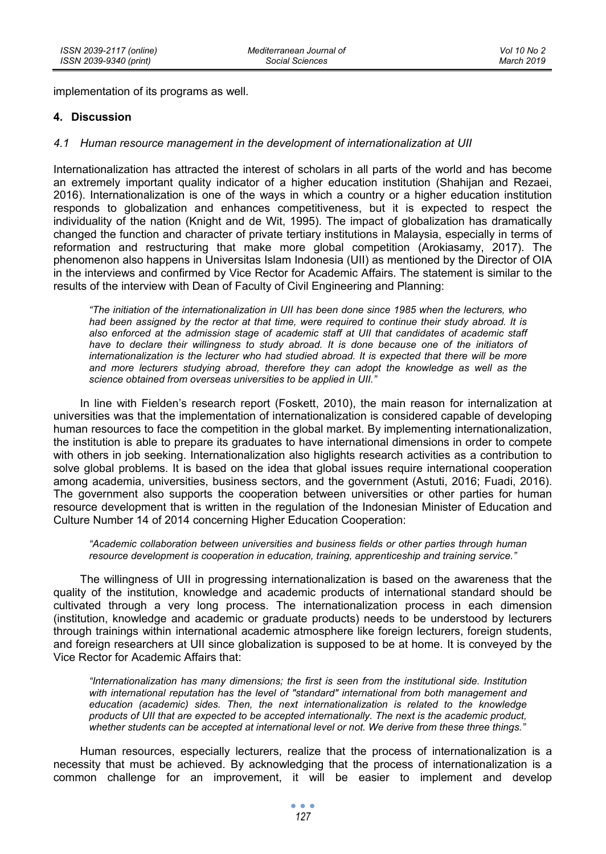implementation of its programs as well.

## **4. Discussion**

## *4.1 Human resource management in the development of internationalization at UII*

Internationalization has attracted the interest of scholars in all parts of the world and has become an extremely important quality indicator of a higher education institution (Shahijan and Rezaei, 2016). Internationalization is one of the ways in which a country or a higher education institution responds to globalization and enhances competitiveness, but it is expected to respect the individuality of the nation (Knight and de Wit, 1995). The impact of globalization has dramatically changed the function and character of private tertiary institutions in Malaysia, especially in terms of reformation and restructuring that make more global competition (Arokiasamy, 2017). The phenomenon also happens in Universitas Islam Indonesia (UII) as mentioned by the Director of OIA in the interviews and confirmed by Vice Rector for Academic Affairs. The statement is similar to the results of the interview with Dean of Faculty of Civil Engineering and Planning:

*"The initiation of the internationalization in UII has been done since 1985 when the lecturers, who had been assigned by the rector at that time, were required to continue their study abroad. It is also enforced at the admission stage of academic staff at UII that candidates of academic staff have to declare their willingness to study abroad. It is done because one of the initiators of internationalization is the lecturer who had studied abroad. It is expected that there will be more and more lecturers studying abroad, therefore they can adopt the knowledge as well as the science obtained from overseas universities to be applied in UII."* 

In line with Fielden's research report (Foskett, 2010), the main reason for internalization at universities was that the implementation of internationalization is considered capable of developing human resources to face the competition in the global market. By implementing internationalization, the institution is able to prepare its graduates to have international dimensions in order to compete with others in job seeking. Internationalization also higlights research activities as a contribution to solve global problems. It is based on the idea that global issues require international cooperation among academia, universities, business sectors, and the government (Astuti, 2016; Fuadi, 2016). The government also supports the cooperation between universities or other parties for human resource development that is written in the regulation of the Indonesian Minister of Education and Culture Number 14 of 2014 concerning Higher Education Cooperation:

*"Academic collaboration between universities and business fields or other parties through human resource development is cooperation in education, training, apprenticeship and training service."* 

The willingness of UII in progressing internationalization is based on the awareness that the quality of the institution, knowledge and academic products of international standard should be cultivated through a very long process. The internationalization process in each dimension (institution, knowledge and academic or graduate products) needs to be understood by lecturers through trainings within international academic atmosphere like foreign lecturers, foreign students, and foreign researchers at UII since globalization is supposed to be at home. It is conveyed by the Vice Rector for Academic Affairs that:

*"Internationalization has many dimensions; the first is seen from the institutional side. Institution with international reputation has the level of "standard" international from both management and education (academic) sides. Then, the next internationalization is related to the knowledge products of UII that are expected to be accepted internationally. The next is the academic product, whether students can be accepted at international level or not. We derive from these three things."* 

Human resources, especially lecturers, realize that the process of internationalization is a necessity that must be achieved. By acknowledging that the process of internationalization is a common challenge for an improvement, it will be easier to implement and develop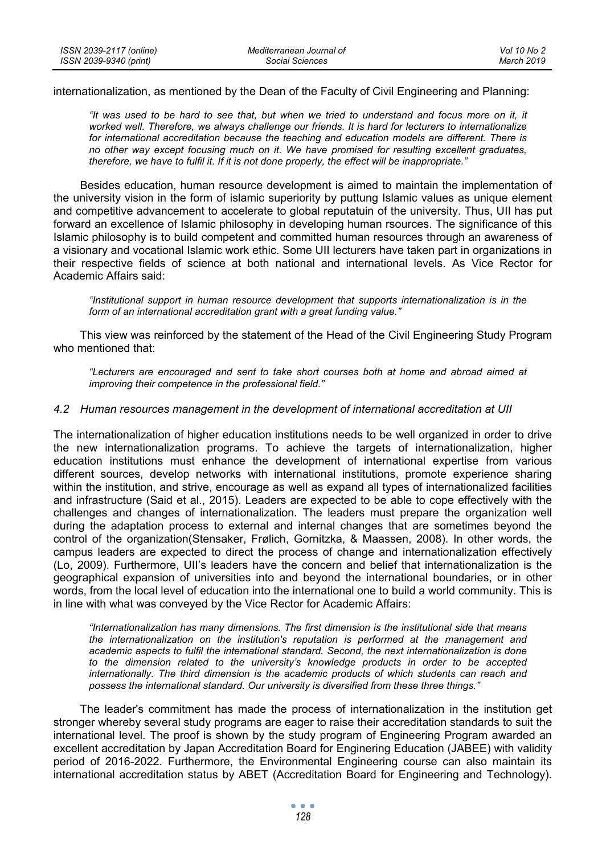internationalization, as mentioned by the Dean of the Faculty of Civil Engineering and Planning:

*"It was used to be hard to see that, but when we tried to understand and focus more on it, it worked well. Therefore, we always challenge our friends. It is hard for lecturers to internationalize for international accreditation because the teaching and education models are different. There is no other way except focusing much on it. We have promised for resulting excellent graduates, therefore, we have to fulfil it. If it is not done properly, the effect will be inappropriate."* 

Besides education, human resource development is aimed to maintain the implementation of the university vision in the form of islamic superiority by puttung Islamic values as unique element and competitive advancement to accelerate to global reputatuin of the university. Thus, UII has put forward an excellence of Islamic philosophy in developing human rsources. The significance of this Islamic philosophy is to build competent and committed human resources through an awareness of a visionary and vocational Islamic work ethic. Some UII lecturers have taken part in organizations in their respective fields of science at both national and international levels. As Vice Rector for Academic Affairs said:

*"Institutional support in human resource development that supports internationalization is in the form of an international accreditation grant with a great funding value."* 

This view was reinforced by the statement of the Head of the Civil Engineering Study Program who mentioned that:

*"Lecturers are encouraged and sent to take short courses both at home and abroad aimed at improving their competence in the professional field."* 

#### *4.2 Human resources management in the development of international accreditation at UII*

The internationalization of higher education institutions needs to be well organized in order to drive the new internationalization programs. To achieve the targets of internationalization, higher education institutions must enhance the development of international expertise from various different sources, develop networks with international institutions, promote experience sharing within the institution, and strive, encourage as well as expand all types of internationalized facilities and infrastructure (Said et al., 2015). Leaders are expected to be able to cope effectively with the challenges and changes of internationalization. The leaders must prepare the organization well during the adaptation process to external and internal changes that are sometimes beyond the control of the organization(Stensaker, Frølich, Gornitzka, & Maassen, 2008). In other words, the campus leaders are expected to direct the process of change and internationalization effectively (Lo, 2009). Furthermore, UII's leaders have the concern and belief that internationalization is the geographical expansion of universities into and beyond the international boundaries, or in other words, from the local level of education into the international one to build a world community. This is in line with what was conveyed by the Vice Rector for Academic Affairs:

*"Internationalization has many dimensions. The first dimension is the institutional side that means the internationalization on the institution's reputation is performed at the management and academic aspects to fulfil the international standard. Second, the next internationalization is done to the dimension related to the university's knowledge products in order to be accepted internationally. The third dimension is the academic products of which students can reach and possess the international standard. Our university is diversified from these three things."* 

The leader's commitment has made the process of internationalization in the institution get stronger whereby several study programs are eager to raise their accreditation standards to suit the international level. The proof is shown by the study program of Engineering Program awarded an excellent accreditation by Japan Accreditation Board for Enginering Education (JABEE) with validity period of 2016-2022. Furthermore, the Environmental Engineering course can also maintain its international accreditation status by ABET (Accreditation Board for Engineering and Technology).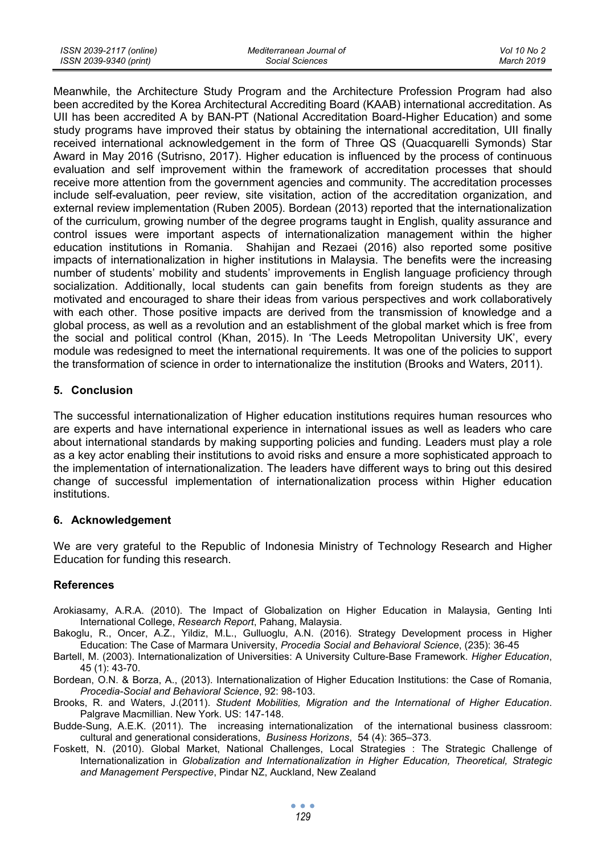| ISSN 2039-2117 (online) | Mediterranean Journal of | Vol 10 No 2 |
|-------------------------|--------------------------|-------------|
| ISSN 2039-9340 (print)  | Social Sciences          | March 2019  |

Meanwhile, the Architecture Study Program and the Architecture Profession Program had also been accredited by the Korea Architectural Accrediting Board (KAAB) international accreditation. As UII has been accredited A by BAN-PT (National Accreditation Board-Higher Education) and some study programs have improved their status by obtaining the international accreditation, UII finally received international acknowledgement in the form of Three QS (Quacquarelli Symonds) Star Award in May 2016 (Sutrisno, 2017). Higher education is influenced by the process of continuous evaluation and self improvement within the framework of accreditation processes that should receive more attention from the government agencies and community. The accreditation processes include self-evaluation, peer review, site visitation, action of the accreditation organization, and external review implementation (Ruben 2005). Bordean (2013) reported that the internationalization of the curriculum, growing number of the degree programs taught in English, quality assurance and control issues were important aspects of internationalization management within the higher education institutions in Romania. Shahijan and Rezaei (2016) also reported some positive impacts of internationalization in higher institutions in Malaysia. The benefits were the increasing number of students' mobility and students' improvements in English language proficiency through socialization. Additionally, local students can gain benefits from foreign students as they are motivated and encouraged to share their ideas from various perspectives and work collaboratively with each other. Those positive impacts are derived from the transmission of knowledge and a global process, as well as a revolution and an establishment of the global market which is free from the social and political control (Khan, 2015). In 'The Leeds Metropolitan University UK', every module was redesigned to meet the international requirements. It was one of the policies to support the transformation of science in order to internationalize the institution (Brooks and Waters, 2011).

### **5. Conclusion**

The successful internationalization of Higher education institutions requires human resources who are experts and have international experience in international issues as well as leaders who care about international standards by making supporting policies and funding. Leaders must play a role as a key actor enabling their institutions to avoid risks and ensure a more sophisticated approach to the implementation of internationalization. The leaders have different ways to bring out this desired change of successful implementation of internationalization process within Higher education institutions.

## **6. Acknowledgement**

We are very grateful to the Republic of Indonesia Ministry of Technology Research and Higher Education for funding this research.

## **References**

- Arokiasamy, A.R.A. (2010). The Impact of Globalization on Higher Education in Malaysia, Genting Inti International College, *Research Report*, Pahang, Malaysia.
- Bakoglu, R., Oncer, A.Z., Yildiz, M.L., Gulluoglu, A.N. (2016). Strategy Development process in Higher Education: The Case of Marmara University, *Procedia Social and Behavioral Science*, (235): 36-45
- Bartell, M. (2003). Internationalization of Universities: A University Culture-Base Framework. *Higher Education*, 45 (1): 43-70.
- Bordean, O.N. & Borza, A., (2013). Internationalization of Higher Education Institutions: the Case of Romania, *Procedia-Social and Behavioral Science*, 92: 98-103.
- Brooks, R. and Waters, J.(2011). *Student Mobilities, Migration and the International of Higher Education*. Palgrave Macmillian. New York. US: 147-148.
- Budde-Sung, A.E.K. (2011). The increasing internationalization of the international business classroom: cultural and generational considerations, *Business Horizons*, 54 (4): 365–373.
- Foskett, N. (2010). Global Market, National Challenges, Local Strategies : The Strategic Challenge of Internationalization in *Globalization and Internationalization in Higher Education, Theoretical, Strategic and Management Perspective*, Pindar NZ, Auckland, New Zealand